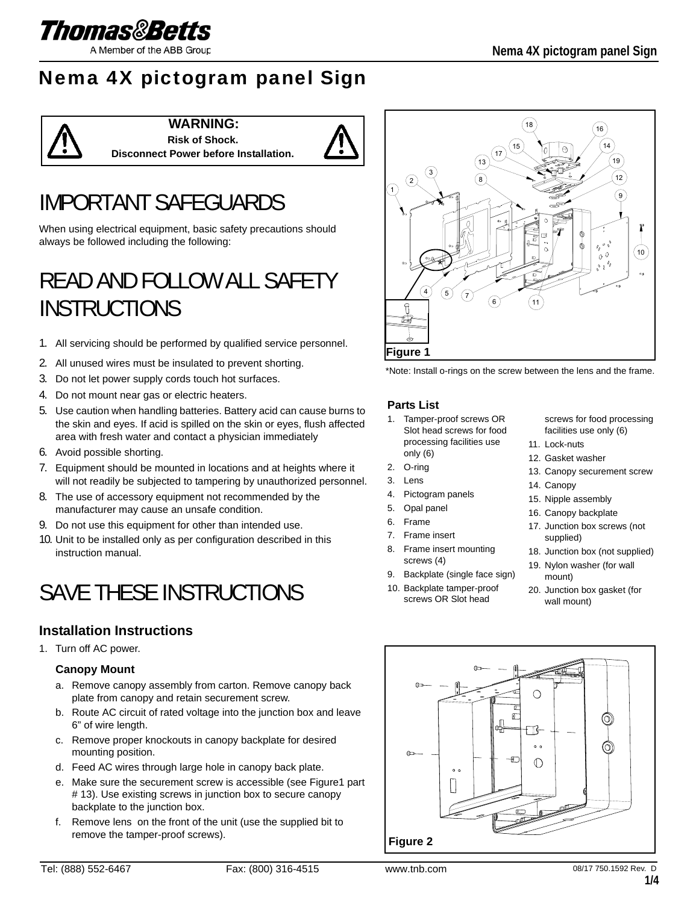

# Nema 4X pictogram panel Sign



### **WARNING: Risk of Shock.**



# IMPORTANT SAFEGUARDS

When using electrical equipment, basic safety precautions should always be followed including the following:

# READ AND FOLLOW ALL SAFETY INSTRUCTIONS

- 1. All servicing should be performed by qualified service personnel.
- 2. All unused wires must be insulated to prevent shorting.
- 3. Do not let power supply cords touch hot surfaces.
- 4. Do not mount near gas or electric heaters.
- 5. Use caution when handling batteries. Battery acid can cause burns to the skin and eyes. If acid is spilled on the skin or eyes, flush affected area with fresh water and contact a physician immediately
- 6. Avoid possible shorting.
- 7. Equipment should be mounted in locations and at heights where it will not readily be subjected to tampering by unauthorized personnel.
- 8. The use of accessory equipment not recommended by the manufacturer may cause an unsafe condition.
- 9. Do not use this equipment for other than intended use.
- 10. Unit to be installed only as per configuration described in this instruction manual.

# SAVE THESE INSTRUCTIONS

## **Installation Instructions**

1. Turn off AC power.

#### **Canopy Mount**

- a. Remove canopy assembly from carton. Remove canopy back plate from canopy and retain securement screw.
- b. Route AC circuit of rated voltage into the junction box and leave 6" of wire length.
- c. Remove proper knockouts in canopy backplate for desired mounting position.
- d. Feed AC wires through large hole in canopy back plate.
- e. Make sure the securement screw is accessible (see Figure1 part # 13). Use existing screws in junction box to secure canopy backplate to the junction box.
- f. Remove lens on the front of the unit (use the supplied bit to remove the tamper-proof screws).





#### **Parts List**

- 1. Tamper-proof screws OR Slot head screws for food processing facilities use only (6)
- 2. O-ring
- 3. Lens
- 4. Pictogram panels
- 5. Opal panel
- 6. Frame
- 7. Frame insert
- 8. Frame insert mounting screws (4)
- 9. Backplate (single face sign)
- 10. Backplate tamper-proof screws OR Slot head

screws for food processing facilities use only (6)

- 11. Lock-nuts
- 12. Gasket washer
- 13. Canopy securement screw
- 14. Canopy
- 15. Nipple assembly
- 16. Canopy backplate
- 17. Junction box screws (not supplied)
- 18. Junction box (not supplied)
- 19. Nylon washer (for wall mount)
- 20. Junction box gasket (for wall mount)

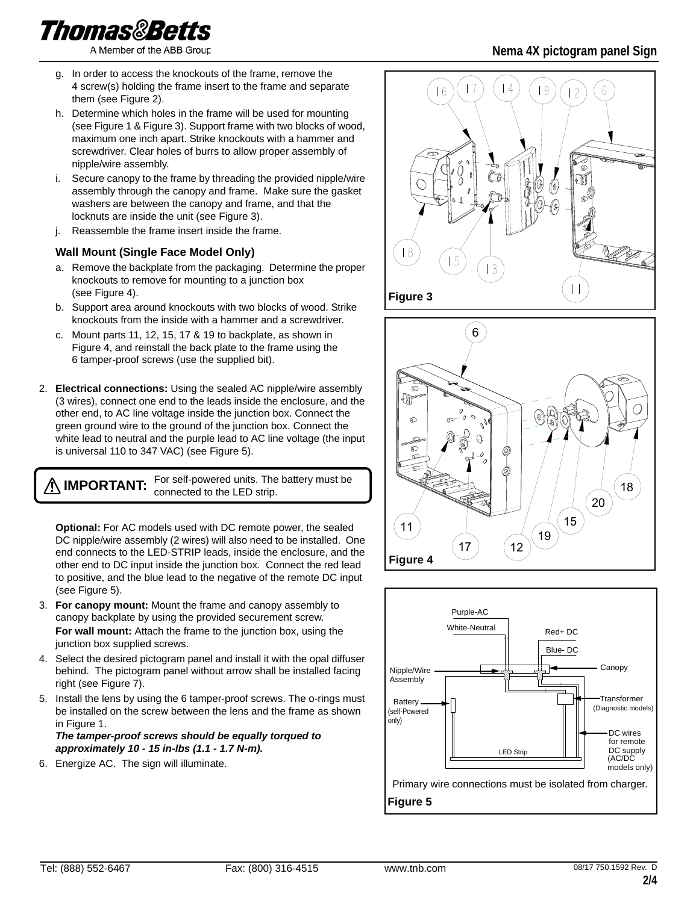- g. In order to access the knockouts of the frame, remove the 4 screw(s) holding the frame insert to the frame and separate them (see Figure 2).
- h. Determine which holes in the frame will be used for mounting (see Figure 1 & Figure 3). Support frame with two blocks of wood, maximum one inch apart. Strike knockouts with a hammer and screwdriver. Clear holes of burrs to allow proper assembly of nipple/wire assembly.
- i. Secure canopy to the frame by threading the provided nipple/wire assembly through the canopy and frame. Make sure the gasket washers are between the canopy and frame, and that the locknuts are inside the unit (see Figure 3).
- j. Reassemble the frame insert inside the frame.

#### **Wall Mount (Single Face Model Only)**

- a. Remove the backplate from the packaging. Determine the proper knockouts to remove for mounting to a junction box (see Figure 4).
- b. Support area around knockouts with two blocks of wood. Strike knockouts from the inside with a hammer and a screwdriver.
- c. Mount parts 11, 12, 15, 17 & 19 to backplate, as shown in Figure 4, and reinstall the back plate to the frame using the 6 tamper-proof screws (use the supplied bit).
- 2. **Electrical connections:** Using the sealed AC nipple/wire assembly (3 wires), connect one end to the leads inside the enclosure, and the other end, to AC line voltage inside the junction box. Connect the green ground wire to the ground of the junction box. Connect the white lead to neutral and the purple lead to AC line voltage (the input is universal 110 to 347 VAC) (see Figure 5).

**IMPORTANT:** For self-powered units. The battery must be connected to the LED strip.

**Optional:** For AC models used with DC remote power, the sealed DC nipple/wire assembly (2 wires) will also need to be installed. One end connects to the LED-STRIP leads, inside the enclosure, and the other end to DC input inside the junction box. Connect the red lead to positive, and the blue lead to the negative of the remote DC input (see Figure 5).

- 3. **For canopy mount:** Mount the frame and canopy assembly to canopy backplate by using the provided securement screw. **For wall mount:** Attach the frame to the junction box, using the junction box supplied screws.
- 4. Select the desired pictogram panel and install it with the opal diffuser behind. The pictogram panel without arrow shall be installed facing right (see Figure 7).
- 5. Install the lens by using the 6 tamper-proof screws. The o-rings must be installed on the screw between the lens and the frame as shown in Figure 1.

*The tamper-proof screws should be equally torqued to approximately 10 - 15 in-lbs (1.1 - 1.7 N-m).*

6. Energize AC. The sign will illuminate.



**Figure 3**





## **Nema 4X pictogram panel Sign**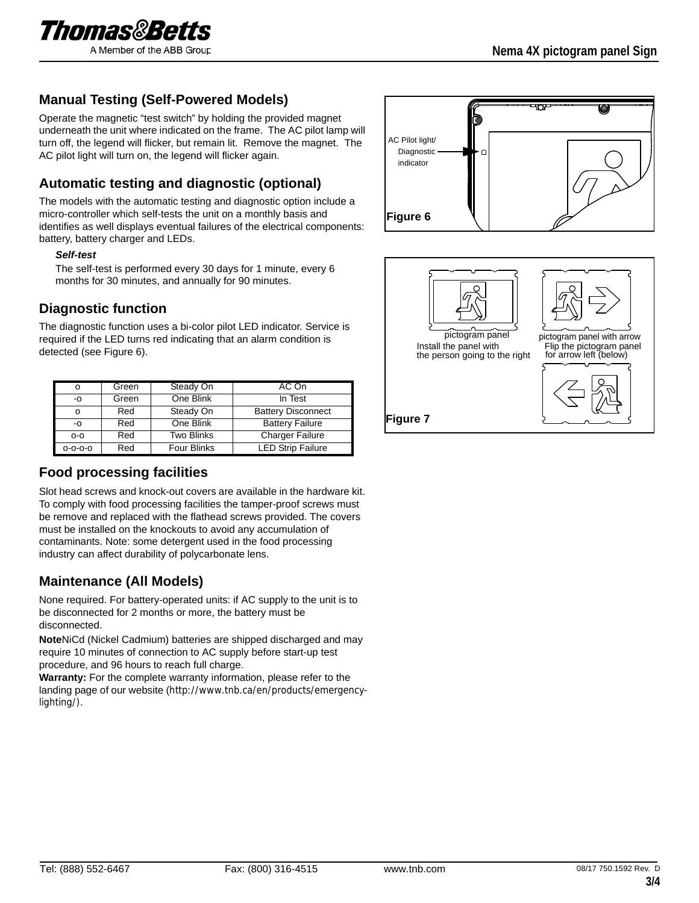

### **Manual Testing (Self-Powered Models)**

Operate the magnetic "test switch" by holding the provided magnet underneath the unit where indicated on the frame. The AC pilot lamp will turn off, the legend will flicker, but remain lit. Remove the magnet. The AC pilot light will turn on, the legend will flicker again.

## **Automatic testing and diagnostic (optional)**

The models with the automatic testing and diagnostic option include a micro-controller which self-tests the unit on a monthly basis and identifies as well displays eventual failures of the electrical components: battery, battery charger and LEDs.

#### *Self-test*

The self-test is performed every 30 days for 1 minute, every 6 months for 30 minutes, and annually for 90 minutes.

### **Diagnostic function**

The diagnostic function uses a bi-color pilot LED indicator. Service is required if the LED turns red indicating that an alarm condition is detected (see Figure 6).

|         | Green | Steady On          | AC On                     |  |
|---------|-------|--------------------|---------------------------|--|
| -0      | Green | One Blink          | In Test                   |  |
|         | Red   | Steady On          | <b>Battery Disconnect</b> |  |
| -0      | Red   | One Blink          | <b>Battery Failure</b>    |  |
| $O-O$   | Red   | <b>Two Blinks</b>  | <b>Charger Failure</b>    |  |
| 0-0-0-0 | Red   | <b>Four Blinks</b> | <b>LED Strip Failure</b>  |  |

### **Food processing facilities**

Slot head screws and knock-out covers are available in the hardware kit. To comply with food processing facilities the tamper-proof screws must be remove and replaced with the flathead screws provided. The covers must be installed on the knockouts to avoid any accumulation of contaminants. Note: some detergent used in the food processing industry can affect durability of polycarbonate lens.

### **Maintenance (All Models)**

None required. For battery-operated units: if AC supply to the unit is to be disconnected for 2 months or more, the battery must be disconnected.

**Note**NiCd (Nickel Cadmium) batteries are shipped discharged and may require 10 minutes of connection to AC supply before start-up test procedure, and 96 hours to reach full charge.

**Warranty:** For the complete warranty information, please refer to the landing page of our website (http://www.tnb.ca/en/products/emergencylighting/).



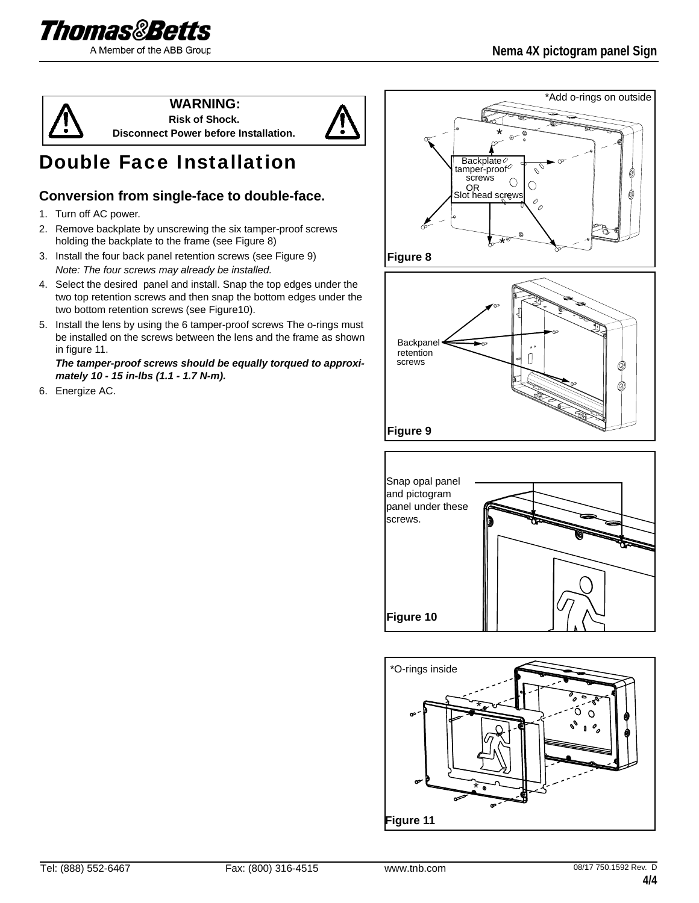



**WARNING: Risk of Shock.**

**Disconnect Power before Installation.**



# Double Face Installation

## **Conversion from single-face to double-face.**

- 1. Turn off AC power.
- 2. Remove backplate by unscrewing the six tamper-proof screws holding the backplate to the frame (see Figure 8)
- 3. Install the four back panel retention screws (see Figure 9) *Note: The four screws may already be installed.*
- 4. Select the desired panel and install. Snap the top edges under the two top retention screws and then snap the bottom edges under the two bottom retention screws (see Figure10).
- 5. Install the lens by using the 6 tamper-proof screws The o-rings must be installed on the screws between the lens and the frame as shown in figure 11.

*The tamper-proof screws should be equally torqued to approximately 10 - 15 in-lbs (1.1 - 1.7 N-m).*

6. Energize AC.







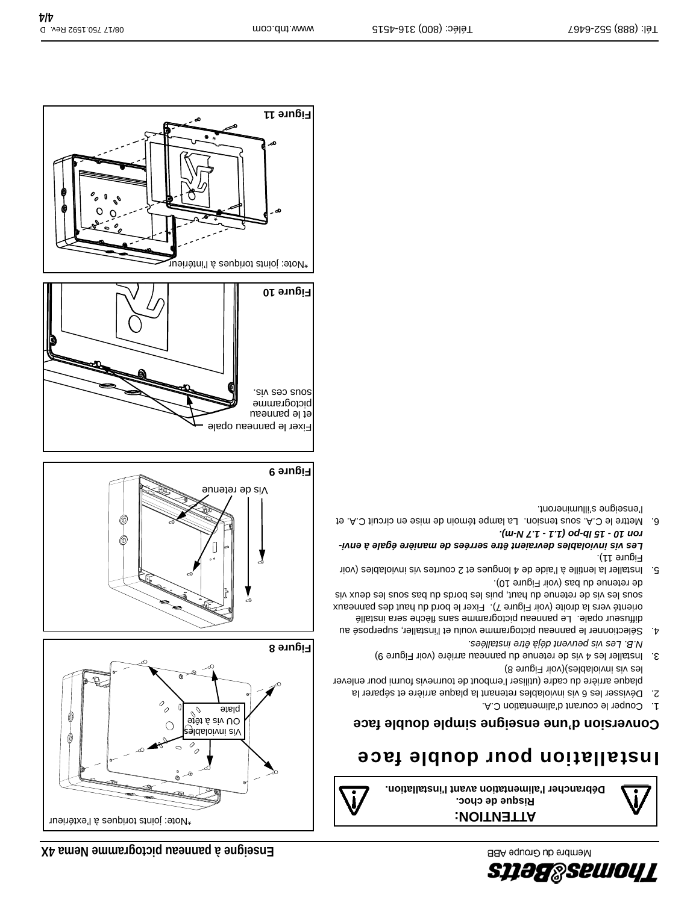

C

\*Note: joints toriques à l'extérieur

(C

Vis inviolables

OU vis à tête plate

Vis de retenue



# Installation pour double face

# **gne simple double face Conversion d'une ensei**

- 1. Couper le courant d'alimentation C.A.
- 2. Dévisser les 6 vis inviolables retenant la plaque arrière et séparer la plaque arrière du cadre (utiliser l'embout de tournevis fourni pour enlever les vis inviolables)(voir Figure 8)
- 3. Installer les 4 vis de retenue du panneau arrière (voir Figure 9) *N.B. Les vis peuvent déjà être installées.*
- 4. Sélectionner le panneau pictogramme voulu et l'installer, superposé au diffuseur opale. Le panneau pictogramme sans flèche sera installé orienté vers la droite (voir Figure 7). Fixer le bord du haut des panneaux siv xueb es les veus du haut, puis les bords du bas suos les deux vis
- de retenue du bas (voir Figure 10). 5. Installer la lentille à l'aide de 4 longues et 2 courtes vis inviolables (voir Figure 11).

#### *Les vis inviolables devraient être serrées de manière égale à environ 10 - 15 lb-po (1.1 - 1.7 N-m).*

6. Mettre le C.A. sous tension. La lampe témoin de mise en circuit C.A. et l'enseigne s'illumineront.



**Figure 8**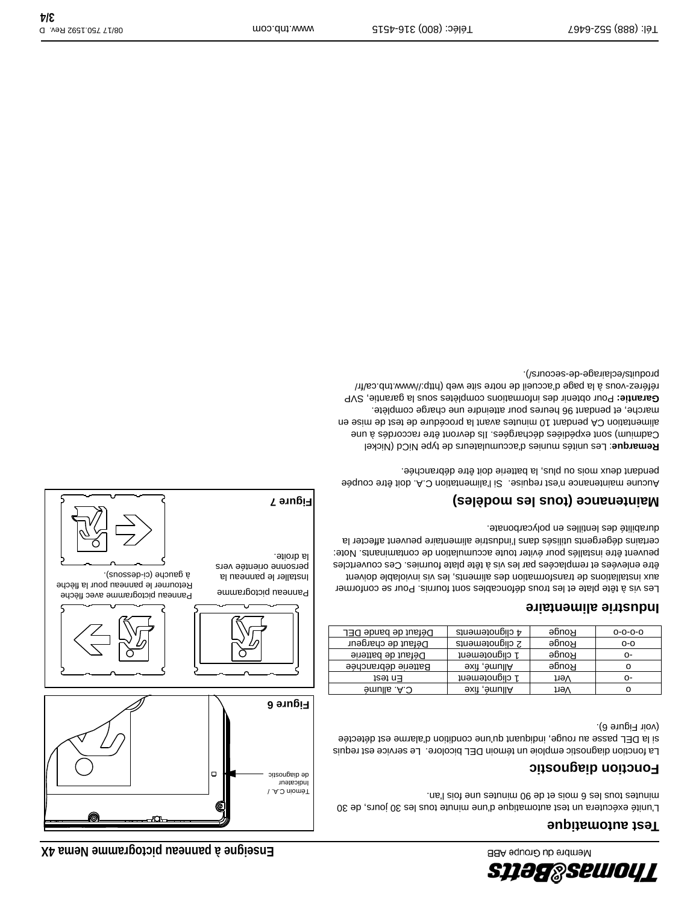

طالعہ<br>منا

Panneau pictogramme avec flèche

Retourner le panneau pour la flèche

. à gauche (ci-dessous)

**Figure 6**

**Figure 7**

la droite.

Panneau pictogramme Installer le panneau la

Ò

 $\Box$ 

personne orientée vers

Témoin C.A. / Indicateur de diagnostic

### **Test automatique**

L'unité exécutera un test automatique d'une minute tous les 30 jours, de 30 minutes tous les 6 mois et de 90 minutes une fois l'an.

#### **Fonction diagnostic**

La fonction diagnostic emploie un témoin DEL bicolore. Le service est requis si la DEL passe au rouge, indiquant qu'une condition d'alarme est détectée (voir Figure 6).

| Défaut de bande DEL |                     | 4 clignotements     | Rouge | $0 - 0 - 0 - 0$ |  |
|---------------------|---------------------|---------------------|-------|-----------------|--|
| Défaut de chargeur  |                     | 2 clignotements     | Ronge | $O-O$           |  |
| Défaut de batterie  |                     | 1 clignotement      | Ronge | о-              |  |
|                     | Batterie débranchée | <b>exit ,émullA</b> | Ronge | о               |  |
| tast n∃             |                     | 1 clignotement      | həV   | ი-              |  |
| G.A. allumé         |                     | <b>exiì ,èmullA</b> | ne∨   | O               |  |
|                     |                     |                     |       |                 |  |

### **Industrie alimentaire**

Les vis à tête plate et les trous défoncables sont fournis. Pour se conformer aux installations de transformation des aliments, les vis inviolable doivent être enlevées et remplacées par les vis à tête plate fournies. Ces couvertcles peuvent être installés pour éviter toute accumulation de contaminants. Note: certains dégergents utilisés dans l'industrie alimentaire peuvent affecter la durabilité des lentilles en polycarbonate.

## **Maintenance (tous les modèles)**

Aucune maintenance n'est requise. Si l'alimentation C.A. doit être coupée pendant deux mois ou plus, la batterie doit être débranchée.

Les unités munies d'accumulateurs de type NiCd (Nickel : **Remarque** Gadmium) sont expédiées dechargées. Ils devront être raccordés à une alimentation CA pendant 01 inutes avant la proposa en instant de seignant de seignant de seignant de marche, et pendant 96 heures pour atteindre une charge complète. Pour obtenir des informations complètes sous la garantie, SVP **Garantie:** référez-vous à la page d'accueil de notre site web (http://www.tnb.ca/fr/ produits/eclairage-de-secours/).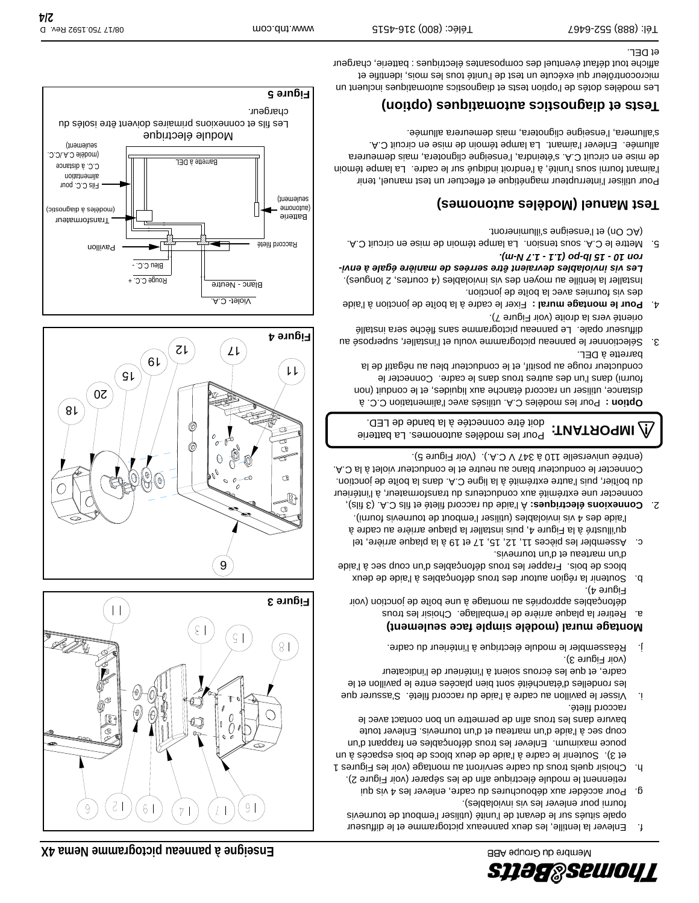

- f. Enlever la lentille, les deux panneaux pictogramme et le diffuseur opale situés sur le devant de l'unité (utiliser l'embout de tournevis
- fourni pour enlever les vis inviolables). g. Pour accéder aux débouchures du cadre, enlever les 4 vis qui
- retiennent le module électrique afin de les séparer (voir Figure 2). h. Choisir quels trous du cadre serviront au montage (voir les Figures 1
- et 3). Soutenir le cadre à l'aide de deux blocs de bois espacés à un pouce maximum. Enlever les trous défonçables en frappant d'un coup sec à l'aide d'un marteau et d'un tournevis. Enlever toute bavure dans les trous afin de permettre un bon contact avec le raccord fileté.
- i. Visser le pavillon au cadre à l'aide du raccord fileté. S'assurer que les rondelles d'étanchéité sont bien placées entre le pavillon et le cadre, et que les écrous soient à l'intérieur de l'indicateur (voir Figure 3).
- j. Réassembler le module électrique à l'intérieur du cadre.

#### **Montage mural (modèle simple face seulement)**

- a. Retirer la plaque arrière de l'emballage. Choisir les trous défonçables appropriés au montage à une boîte de jonction (voir Figure 4).
- b. Soutenir la région autour des trous défonçables à l'aide de deux blocs de bois. Frapper les trous défonçables d'un coup sec à l'aide d'un marteau et d'un tournevis.
- c. Assembler les pièces 11, 12, 15, 17 et 19 à la plaque arrière, tel qu'illustré à la Figure 4, puis installer la plaque arrière au cadre à
- l'aide des 4 vis inviolables (utiliser l'embout de tournevis fourni). À l'aide du raccord fileté et fils C.A. (3 fils), **Connexions électriques:** 2. connecter une extrémité aux conducteurs du transformateur, à l'intérieur du boîtier, puis l'autre extrémité à la ligne C.A. dans la boîte de jonction.

Connecter le conducteur blanc au neutre et le conducteur violet à la C.A. (entrée universelle 110 à 347 V C.A.). (Voir Figure 5). **IMPORTANT:** Pour les modèles autonomes. La batterie

doit être connectée à la bande de LED.

 Pour les modèles C.A. utilisés avec l'alimentation C.C. à **Option :** distance, utiliser un raccord étanche aux liquides, et le conduit (non fourni) dans l'un des autres trous dans le cadre. Connecter le conducteur rouge au positif, et le conducteur bleu au négatif de la barrette à DEL.

- 3. Sélectionner le panneau pictogramme voulu et l'installer, superposé au diffuseur opale. Le panneau pictogramme sans flèche sera installé orienté vers la droite (voir Figure 7).
- 4. Pour le montage mural : Fixer le cadre à la boîte de jonction à l'aide des vis fournies avec la boîte de jonction.

Installer la lentille au moyen des vis inviolables (4 courtes, 2 longues). *Les vis inviolables devraient être serrées de manière égale à environ 10 - 15 lb-po (1.1 - 1.7 N-m).*

5. Mettre le C.A. sous tension. La lampe témoin de mise en circuit C.A. (AC On) et l'enseigne s'illumineront.

## **Test Manuel (Modèles autonomes)**

Pour utiliser l'interrupteur magnétique et effectuer un test manuel, tenir l'aimant fourni sous l'unité, à l'endroit indiqué sur le cadre. La lampe témoin de mise en circuit C.A. s'éteindra, l'enseigne clignotera, mais demeurera allumée. Enlever l'aimant. La lampe témoin de mise en circuit C.A. s'allumera, l'enseigne clignotera, mais demeurera allumée.

## **Tests et diagnostics automatiques (option)**

Les modèles dotés de l'option tests et diagnostics automatiques incluent un microcontrôleur qui exécute un test de l'unité tous les mois, identifie et affiche tout défaut éventuel des composantes électriques : batterie, chargeur et DEL.